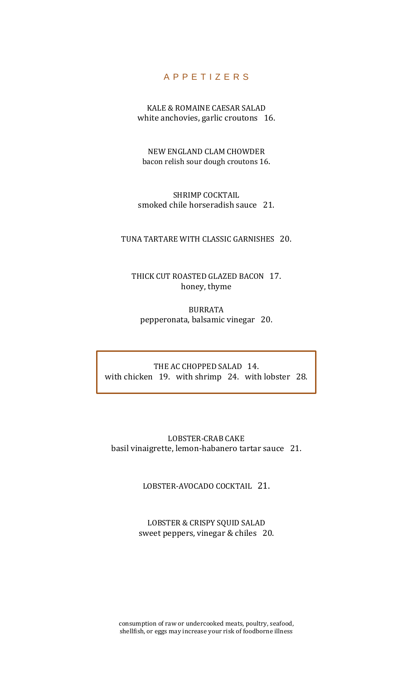## A P P E T I Z E R S

KALE & ROMAINE CAESAR SALAD white anchovies, garlic croutons 16.

NEW ENGLAND CLAM CHOWDER bacon relish sour dough croutons 16.

SHRIMP COCKTAIL smoked chile horseradish sauce 21.

TUNA TARTARE WITH CLASSIC GARNISHES 20.

THICK CUT ROASTED GLAZED BACON 17. honey, thyme

BURRATA pepperonata, balsamic vinegar 20.

THE AC CHOPPED SALAD 14. with chicken 19. with shrimp 24. with lobster 28.

LOBSTER-CRAB CAKE basil vinaigrette, lemon-habanero tartar sauce 21.

LOBSTER-AVOCADO COCKTAIL 21.

LOBSTER & CRISPY SQUID SALAD sweet peppers, vinegar & chiles 20.

consumption of raw or undercooked meats, poultry, seafood, shellfish, or eggs may increase your risk of foodborne illness